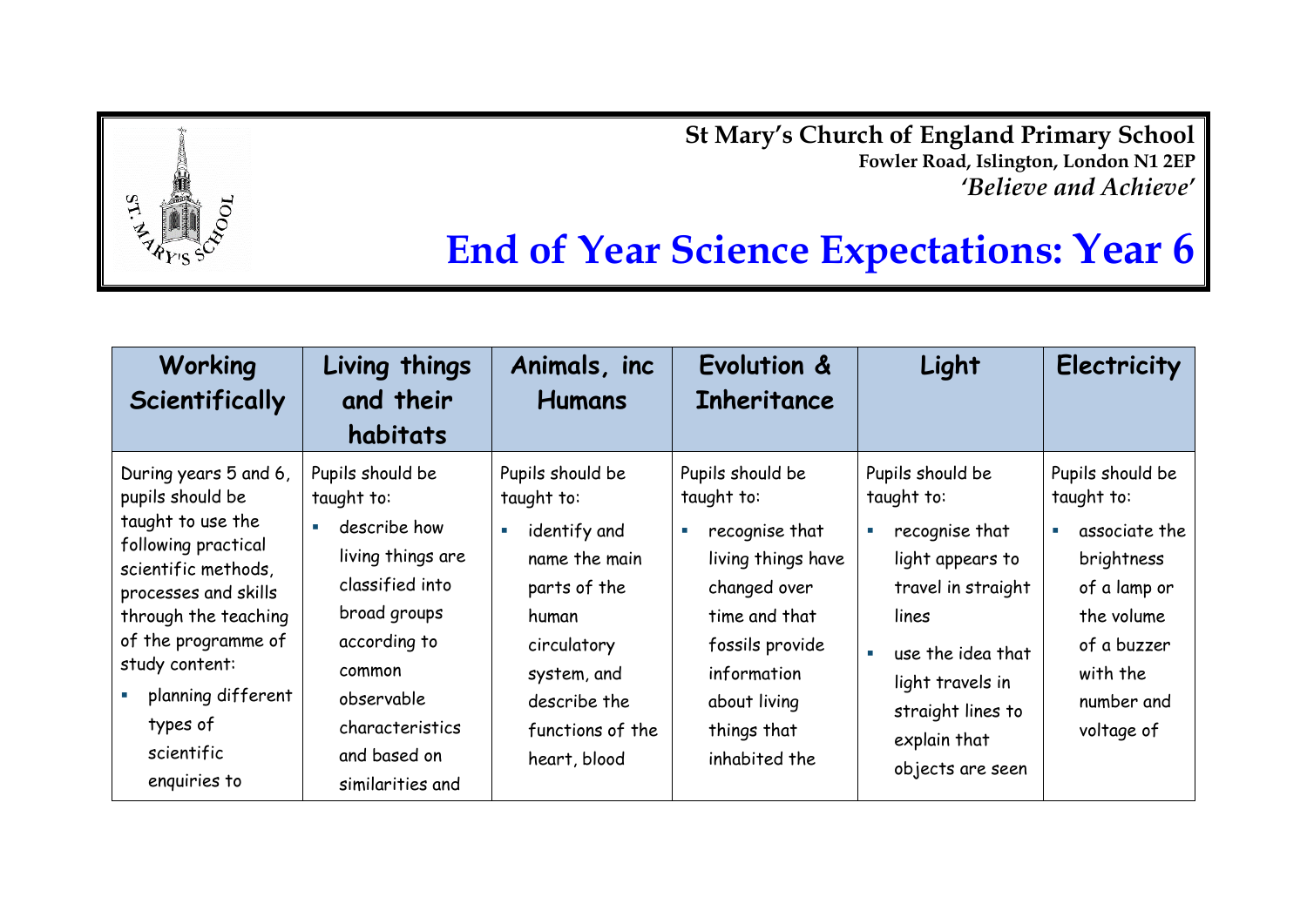**St Mary's Church of England Primary School Fowler Road, Islington, London N1 2EP** *'Believe and Achieve'*



## **End of Year Science Expectations: Year 6**

| Working<br>Scientifically                                                                                                                                                                                                                                             | Living things<br>and their<br>habitats                                                                                                                                                                | Animals, inc.<br><b>Humans</b>                                                                                                                                                               | Evolution &<br>Inheritance                                                                                                                                                                                               | Light                                                                                                                                                                                                             | Electricity                                                                                                                                                                       |
|-----------------------------------------------------------------------------------------------------------------------------------------------------------------------------------------------------------------------------------------------------------------------|-------------------------------------------------------------------------------------------------------------------------------------------------------------------------------------------------------|----------------------------------------------------------------------------------------------------------------------------------------------------------------------------------------------|--------------------------------------------------------------------------------------------------------------------------------------------------------------------------------------------------------------------------|-------------------------------------------------------------------------------------------------------------------------------------------------------------------------------------------------------------------|-----------------------------------------------------------------------------------------------------------------------------------------------------------------------------------|
| During years 5 and 6,<br>pupils should be<br>taught to use the<br>following practical<br>scientific methods,<br>processes and skills<br>through the teaching<br>of the programme of<br>study content:<br>planning different<br>types of<br>scientific<br>enquiries to | Pupils should be<br>taught to:<br>describe how<br>living things are<br>classified into<br>broad groups<br>according to<br>common<br>observable<br>characteristics<br>and based on<br>similarities and | Pupils should be<br>taught to:<br>identify and<br>$\blacksquare$<br>name the main<br>parts of the<br>human<br>circulatory<br>system, and<br>describe the<br>functions of the<br>heart, blood | Pupils should be<br>taught to:<br>recognise that<br>$\mathcal{L}_{\mathcal{A}}$<br>living things have<br>changed over<br>time and that<br>fossils provide<br>information<br>about living<br>things that<br>inhabited the | Pupils should be<br>taught to:<br>recognise that<br>×.<br>light appears to<br>travel in straight<br>lines<br>use the idea that<br>×.<br>light travels in<br>straight lines to<br>explain that<br>objects are seen | Pupils should be<br>taught to:<br>associate the<br>$\mathcal{L}_{\mathcal{A}}$<br>brightness<br>of a lamp or<br>the volume<br>of a buzzer<br>with the<br>number and<br>voltage of |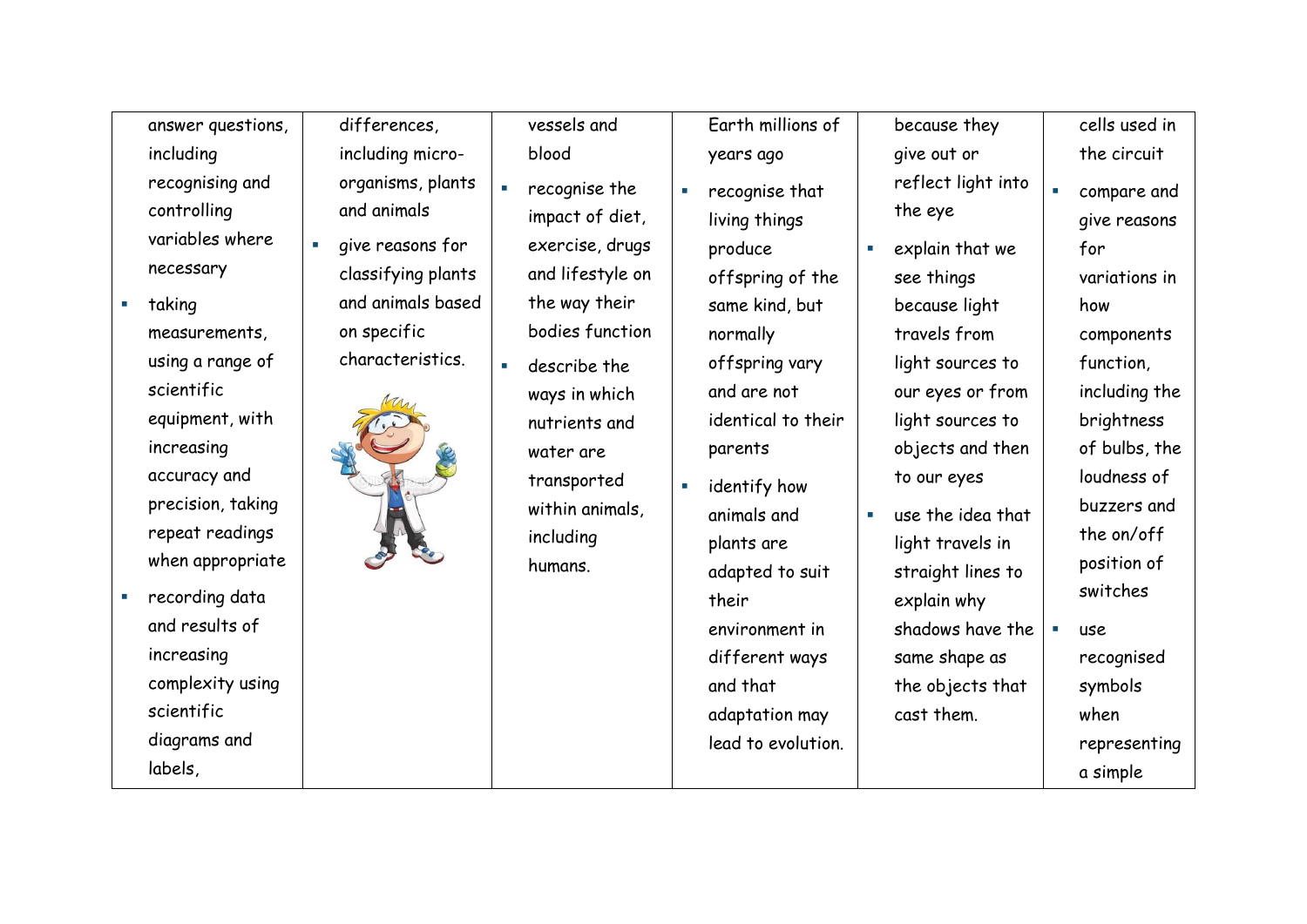answer questions, including recognising and controlling variables where necessary

- **taking** measurements, using a range of scientific equipment, with increasing accuracy and precision, taking repeat readings when appropriate
- **recording data** and results of increasing complexity using scientific diagrams and labels,

differences, including micro organisms, plants

- and animals
- give reasons for classifying plants and animals based on specific
	-

vessels and blood

- recognise the impact of diet, exercise, drugs and lifestyle on the way their bodies function
- **describe the** ways in which nutrients and water are transported within animals, including humans.

Earth millions of years ago

- recognise that living things produce offspring of the same kind, but normally offspring vary and are not identical to their parents
- **E** identify how animals and plants are adapted to suit their environment in different ways and that adaptation may lead to evolution.

because they give out or reflect light into

the eye

- explain that we see things because light travels from light sources to our eyes or from light sources to objects and then to our eyes
	- use the idea that light travels in straight lines to explain why shadows have the same shape as the objects that

cast them.

cells used in the circuit compare and give reasons for variations in how components function, including the brightness of bulbs, the loudness of buzzers and the on/off position of switches use recognised symbols when

representing

a simple

characteristics.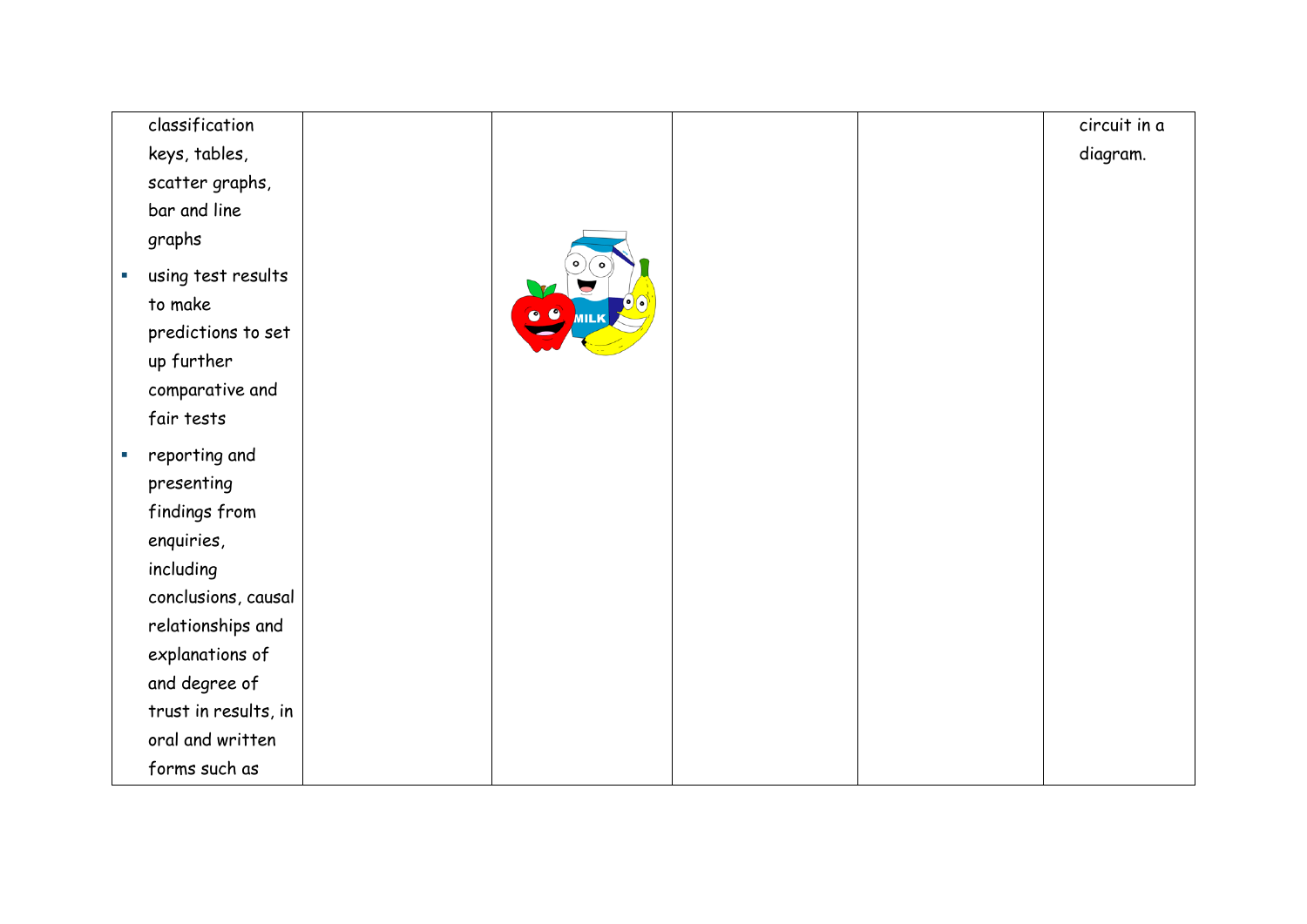| classification                                    |                           |  | circuit in a |
|---------------------------------------------------|---------------------------|--|--------------|
| keys, tables,                                     |                           |  | diagram.     |
| scatter graphs,                                   |                           |  |              |
| bar and line                                      |                           |  |              |
| graphs                                            |                           |  |              |
| using test results<br>$\mathcal{L}_{\mathcal{A}}$ |                           |  |              |
| to make                                           |                           |  |              |
| predictions to set                                | $\bullet$<br><b>VIILK</b> |  |              |
| up further                                        |                           |  |              |
| comparative and                                   |                           |  |              |
| fair tests                                        |                           |  |              |
| reporting and<br>×.                               |                           |  |              |
| presenting                                        |                           |  |              |
| findings from                                     |                           |  |              |
| enquiries,                                        |                           |  |              |
| including                                         |                           |  |              |
| conclusions, causal                               |                           |  |              |
| relationships and                                 |                           |  |              |
| explanations of                                   |                           |  |              |
| and degree of                                     |                           |  |              |
| trust in results, in                              |                           |  |              |
| oral and written                                  |                           |  |              |
| forms such as                                     |                           |  |              |